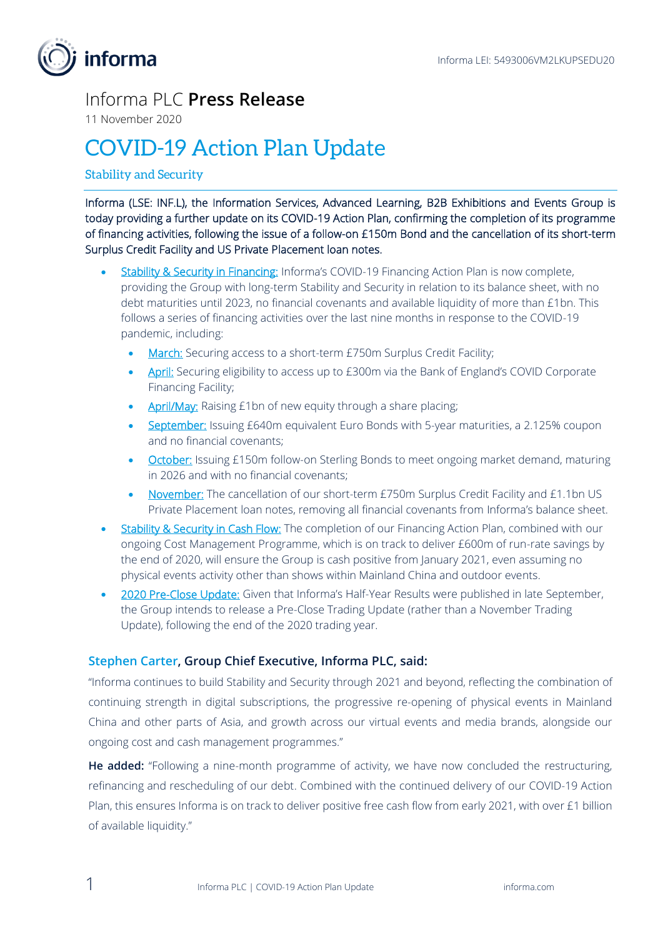

## Informa PLC **Press Release**

11 November 2020

## COVID-19 Action Plan Update

## Stability and Security

Informa (LSE: INF.L), the Information Services, Advanced Learning, B2B Exhibitions and Events Group is today providing a further update on its COVID-19 Action Plan, confirming the completion of its programme of financing activities, following the issue of a follow-on £150m Bond and the cancellation of its short-term Surplus Credit Facility and US Private Placement loan notes.

- **Stability & Security in Financing:** Informa's COVID-19 Financing Action Plan is now complete, providing the Group with long-term Stability and Security in relation to its balance sheet, with no debt maturities until 2023, no financial covenants and available liquidity of more than £1bn. This follows a series of financing activities over the last nine months in response to the COVID-19 pandemic, including:
	- March: Securing access to a short-term £750m Surplus Credit Facility;
	- April: Securing eligibility to access up to £300m via the Bank of England's COVID Corporate Financing Facility;
	- April/May: Raising £1bn of new equity through a share placing;
	- September: Issuing £640m equivalent Euro Bonds with 5-year maturities, a 2.125% coupon and no financial covenants;
	- **October:** Issuing £150m follow-on Sterling Bonds to meet ongoing market demand, maturing in 2026 and with no financial covenants;
	- November: The cancellation of our short-term £750m Surplus Credit Facility and £1.1bn US Private Placement loan notes, removing all financial covenants from Informa's balance sheet.
- Stability & Security in Cash Flow: The completion of our Financing Action Plan, combined with our ongoing Cost Management Programme, which is on track to deliver £600m of run-rate savings by the end of 2020, will ensure the Group is cash positive from January 2021, even assuming no physical events activity other than shows within Mainland China and outdoor events.
- 2020 Pre-Close Update: Given that Informa's Half-Year Results were published in late September, the Group intends to release a Pre-Close Trading Update (rather than a November Trading Update), following the end of the 2020 trading year.

## **Stephen Carter, Group Chief Executive, Informa PLC, said:**

"Informa continues to build Stability and Security through 2021 and beyond, reflecting the combination of continuing strength in digital subscriptions, the progressive re-opening of physical events in Mainland China and other parts of Asia, and growth across our virtual events and media brands, alongside our ongoing cost and cash management programmes."

**He added:** "Following a nine-month programme of activity, we have now concluded the restructuring, refinancing and rescheduling of our debt. Combined with the continued delivery of our COVID-19 Action Plan, this ensures Informa is on track to deliver positive free cash flow from early 2021, with over £1 billion of available liquidity."